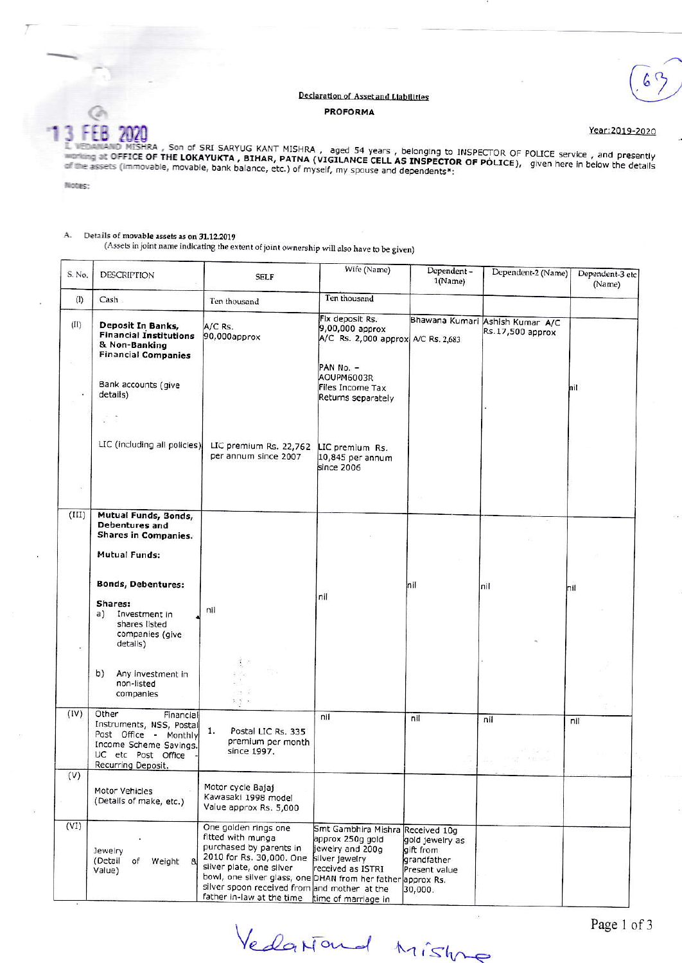## Declaration of Asset and Liabilities **PROFORMA**



Year:2019-2020

**The Second Missing of SRI SARYUG KANT MISHRA**, aged 54 years, belonging to INSPECTOR OF POLICE service, and presently<br>A marking at OFFICE OF THE LOKAYUKTA, BIHAR, PATNA (VIGILANCE CELL AS INSPECTOR OF POLICE), given here

Notes:

## Details of movable assets as on 31.12.2019 A.

(Assets in joint name indicating the extent of joint ownership will also have to be given)

| S. No.         | DESCRIPTION                                                                                                              | <b>SELF</b>                                                                                                                                                                                                                                                                                                 | Wife (Name)                                                                                         | Dependent-<br>1(Name)                                                                   | Dependent-2 (Name)                                  | Dependent-3 etc<br>(Name) |
|----------------|--------------------------------------------------------------------------------------------------------------------------|-------------------------------------------------------------------------------------------------------------------------------------------------------------------------------------------------------------------------------------------------------------------------------------------------------------|-----------------------------------------------------------------------------------------------------|-----------------------------------------------------------------------------------------|-----------------------------------------------------|---------------------------|
| (1)            | Cash.                                                                                                                    | Ten thousand                                                                                                                                                                                                                                                                                                | Ten thousand                                                                                        |                                                                                         |                                                     |                           |
| (II)           | Deposit In Banks,<br><b>Financial Institutions</b><br>& Non-Banking<br><b>Financial Companies</b><br>Bank accounts (give | A/C Rs.<br>90,000approx                                                                                                                                                                                                                                                                                     | Fix deposit Rs.<br>9,00,000 approx<br>A/C Rs. 2,000 approx A/C Rs. 2,683<br>PAN No. -<br>AOUPM6003R |                                                                                         | Bhawana Kumari Ashish Kumar A/C<br>Rs.17,500 approx |                           |
|                | details)                                                                                                                 |                                                                                                                                                                                                                                                                                                             | Files Income Tax<br>Returns separately                                                              |                                                                                         |                                                     | nil                       |
|                |                                                                                                                          |                                                                                                                                                                                                                                                                                                             |                                                                                                     |                                                                                         |                                                     |                           |
|                | LIC (including all policies)                                                                                             | LIC premium Rs. 22,762<br>per annum since 2007                                                                                                                                                                                                                                                              | LIC premium Rs.<br>10,845 per annum<br>since 2006                                                   |                                                                                         |                                                     |                           |
|                |                                                                                                                          |                                                                                                                                                                                                                                                                                                             |                                                                                                     |                                                                                         |                                                     |                           |
| (III)          | Mutual Funds, Bonds,<br>Debentures and<br>Shares in Companies.                                                           |                                                                                                                                                                                                                                                                                                             |                                                                                                     |                                                                                         |                                                     |                           |
|                | Mutual Funds:                                                                                                            |                                                                                                                                                                                                                                                                                                             |                                                                                                     |                                                                                         |                                                     |                           |
|                |                                                                                                                          |                                                                                                                                                                                                                                                                                                             |                                                                                                     |                                                                                         |                                                     |                           |
|                | <b>Bonds, Debentures:</b>                                                                                                |                                                                                                                                                                                                                                                                                                             | nil                                                                                                 | hil                                                                                     | nil                                                 | nil                       |
|                | Shares:<br>a)<br>Investment in<br>shares listed<br>companies (give<br>details)                                           | nil                                                                                                                                                                                                                                                                                                         |                                                                                                     |                                                                                         |                                                     |                           |
|                | b)<br>Any investment in<br>non-listed<br>companies                                                                       | $\frac{1}{2}$ .<br>- 3 2<br>天皇区                                                                                                                                                                                                                                                                             |                                                                                                     |                                                                                         |                                                     |                           |
| (IV)           | Other<br>Financial<br>Instruments, NSS, Postal                                                                           |                                                                                                                                                                                                                                                                                                             | nil                                                                                                 | nil                                                                                     | nil                                                 | nil                       |
|                | Post Office - Monthly<br>Income Scheme Savings.<br>UC etc Post Office<br>Recurring Deposit.                              | 1.<br>Postal LIC Rs. 335<br>premium per month<br>since 1997.                                                                                                                                                                                                                                                |                                                                                                     |                                                                                         |                                                     |                           |
| $(\mathsf{V})$ |                                                                                                                          |                                                                                                                                                                                                                                                                                                             |                                                                                                     |                                                                                         |                                                     |                           |
|                | Motor Vehicles<br>(Details of make, etc.)                                                                                | Motor cycle Bajaj<br>Kawasaki 1998 model<br>Value approx Rs. 5,000                                                                                                                                                                                                                                          |                                                                                                     |                                                                                         |                                                     |                           |
| (VI)           | Jewelry<br>(Detail<br>of<br>Weight<br>8<br>Value)                                                                        | One golden rings one<br>fitted with munga<br>purchased by parents in<br>2010 for Rs. 30,000. One silver jewelry<br>silver plate, one silver<br>bowl, one silver glass, one DHAN from her father approx Rs.<br>silver spoon received from and mother at the<br>father in-law at the time time of marriage in | Smt Gambhira Mishra<br>approx 250g gold<br>jewelry and 200q<br>received as ISTRI                    | Received 10g<br>gold jewelry as<br>gift from<br>grandfather<br>Present value<br>30,000. |                                                     |                           |

Vedariand Mistry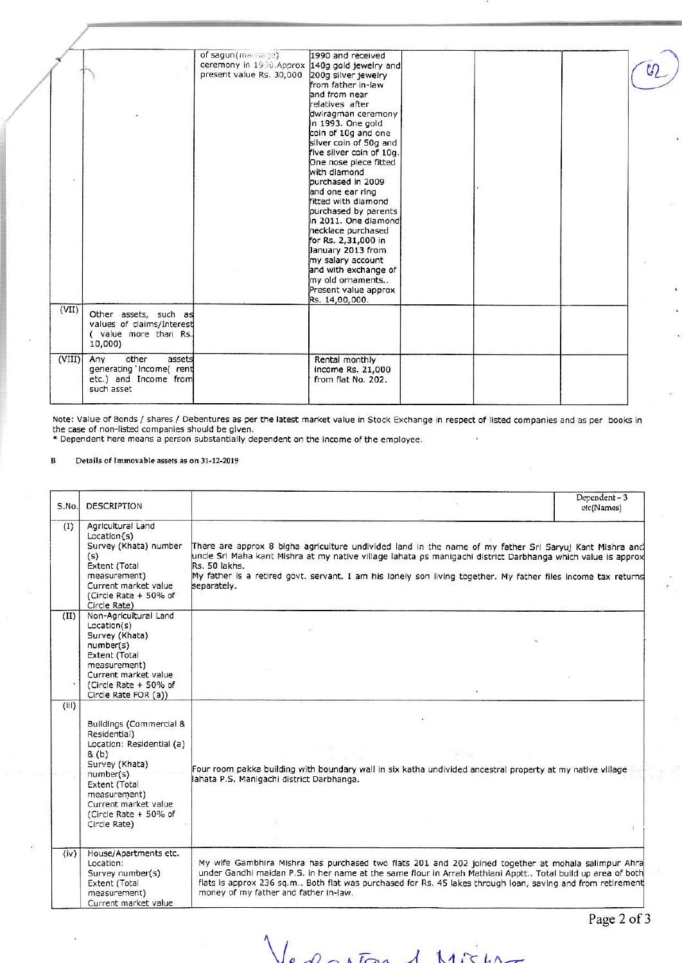|        |                                                                                           | of sagun(marriage)<br>ceremony in 1990. Approx 140g gold jewelry and<br>present value Rs. 30,000 | 1990 and received<br>200g silver jewelry<br>from father in-law<br>and from near<br>relatives after<br>dwiragman ceremony<br>In 1993. One gold<br>coin of 10g and one<br>silver coin of 50g and<br>five silver coin of 10g.<br>One nose piece fitted<br>with diamond<br>purchased in 2009<br>and one ear ring<br>fitted with diamond<br>purchased by parents<br>in 2011. One diamond<br>necklace purchased<br>for Rs. 2,31,000 in<br>January 2013 from<br>my salary account<br>and with exchange of<br>my old ornaments<br>Present value approx<br>Rs. 14,00,000. |  | $\mathcal{U}_2$ |
|--------|-------------------------------------------------------------------------------------------|--------------------------------------------------------------------------------------------------|------------------------------------------------------------------------------------------------------------------------------------------------------------------------------------------------------------------------------------------------------------------------------------------------------------------------------------------------------------------------------------------------------------------------------------------------------------------------------------------------------------------------------------------------------------------|--|-----------------|
| (VII)  | Other assets, such as<br>values of claims/Interest<br>( value more than Rs.<br>10,000)    |                                                                                                  |                                                                                                                                                                                                                                                                                                                                                                                                                                                                                                                                                                  |  |                 |
| (VIII) | Any<br>other<br>assets<br>generating 'Income( rent<br>etc.) and Income from<br>such asset |                                                                                                  | Rental monthly<br>income Rs. 21,000<br>from flat No. 202.                                                                                                                                                                                                                                                                                                                                                                                                                                                                                                        |  |                 |

Note: Value of Bonds / shares / Debentures as per the latest market value in Stock Exchange in respect of listed companies and as per books in<br>the case of non-listed companies should be given.<br>\* Dependent here means a pers

## $\, {\bf B}$ Details of Immovable assets as on 31-12-2019

| S.No. | <b>DESCRIPTION</b>                                                                                                                                                                                             |                                                                                                                                                                                                                                                                                                                                                                          | Dependent-3<br>etc(Names) |
|-------|----------------------------------------------------------------------------------------------------------------------------------------------------------------------------------------------------------------|--------------------------------------------------------------------------------------------------------------------------------------------------------------------------------------------------------------------------------------------------------------------------------------------------------------------------------------------------------------------------|---------------------------|
| (1)   | Agricultural Land<br>Location(s)<br>Survey (Khata) number<br>(s)<br>Extent (Total<br>measurement)<br>Current market value<br>(Circle Rate + 50% of<br>Circle Rate)                                             | There are approx 8 bigha agriculture undivided land in the name of my father Sri Saryuj Kant Mishra and<br>uncle Srl Maha kant Mishra at my native village lahata os manigachi district Darbhanga which value is approx<br>Rs. 50 lakhs.<br>My father is a retired govt. servant. I am his lonely son living together. My father files income tax returns<br>separately. |                           |
| (II)  | Non-Agricultural Land<br>Location(s)<br>Survey (Khata)<br>number(s)<br>Extent (Total<br>measurement)<br>Current market value<br>(Circle Rate + 50% of<br>Circle Rate FOR (a))                                  |                                                                                                                                                                                                                                                                                                                                                                          |                           |
| (iii) | Buildings (Commercial &<br>Residential)<br>Location: Residential (a)<br>& (b)<br>Survey (Khata)<br>number(s)<br>Extent (Total<br>measurement)<br>Current market value<br>(Circle Rate + 50% of<br>Circle Rate) | 3 Um<br>Four room pakka building with boundary wall in six katha undivided ancestral property at my native village<br>lahata P.S. Manigachi district Darbhanga.                                                                                                                                                                                                          |                           |
| (iv)  | House/Apartments etc.<br>Location:<br>Survey number(s)<br>Extent (Total<br>measurement)<br>Current market value                                                                                                | My wife Gambhira Mishra has purchased two flats 201 and 202 joined together at mohala salimpur Ahra<br>under Gandhi maidan P.S. in her name at the same flour in Arrah Mathiani Apptt Total build up area of both<br>flats is approx 236 sq.m Both flat was purchased for Rs. 45 lakes through loan, saving and from retirement<br>money of my father and father in-law. |                           |

Page 2 of 3

Vedestor 1 Mich